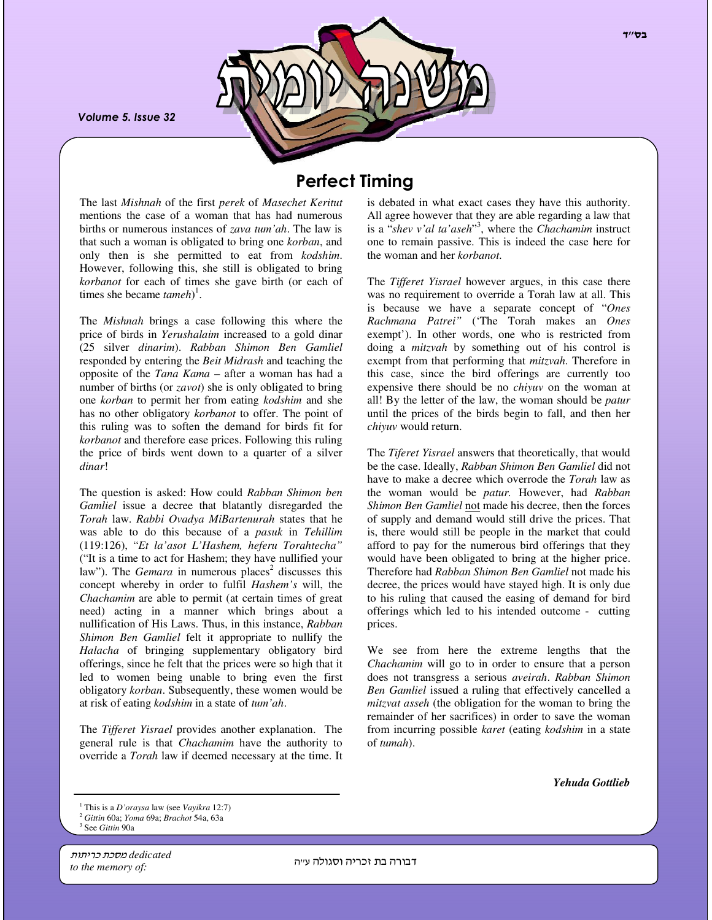Volume 5. Issue 32

# **Perfect Timing**

The last *Mishnah* of the first *perek* of *Masechet Keritut* mentions the case of a woman that has had numerous births or numerous instances of *zava tum'ah*. The law is that such a woman is obligated to bring one *korban*, and only then is she permitted to eat from *kodshim*. However, following this, she still is obligated to bring *korbanot* for each of times she gave birth (or each of times she became *tameh*) 1 .

The *Mishnah* brings a case following this where the price of birds in *Yerushalaim* increased to a gold dinar (25 silver *dinarim*). *Rabban Shimon Ben Gamliel* responded by entering the *Beit Midrash* and teaching the opposite of the *Tana Kama* – after a woman has had a number of births (or *zavot*) she is only obligated to bring one *korban* to permit her from eating *kodshim* and she has no other obligatory *korbanot* to offer. The point of this ruling was to soften the demand for birds fit for *korbanot* and therefore ease prices. Following this ruling the price of birds went down to a quarter of a silver *dinar*!

The question is asked: How could *Rabban Shimon ben Gamliel* issue a decree that blatantly disregarded the *Torah* law. *Rabbi Ovadya MiBartenurah* states that he was able to do this because of a *pasuk* in *Tehillim* (119:126), "*Et la'asot L'Hashem, heferu Torahtecha"* ("It is a time to act for Hashem; they have nullified your law"). The *Gemara* in numerous places<sup>2</sup> discusses this concept whereby in order to fulfil *Hashem's* will, the *Chachamim* are able to permit (at certain times of great need) acting in a manner which brings about a nullification of His Laws. Thus, in this instance, *Rabban Shimon Ben Gamliel* felt it appropriate to nullify the *Halacha* of bringing supplementary obligatory bird offerings, since he felt that the prices were so high that it led to women being unable to bring even the first obligatory *korban*. Subsequently, these women would be at risk of eating *kodshim* in a state of *tum'ah*.

The *Tifferet Yisrael* provides another explanation. The general rule is that *Chachamim* have the authority to override a *Torah* law if deemed necessary at the time. It is debated in what exact cases they have this authority. All agree however that they are able regarding a law that is a "*shev v'al ta'aseh*" 3 , where the *Chachamim* instruct one to remain passive. This is indeed the case here for the woman and her *korbanot*.

The *Tifferet Yisrael* however argues, in this case there was no requirement to override a Torah law at all. This is because we have a separate concept of "*Ones Rachmana Patrei"* ('The Torah makes an *Ones* exempt'). In other words, one who is restricted from doing a *mitzvah* by something out of his control is exempt from that performing that *mitzvah*. Therefore in this case, since the bird offerings are currently too expensive there should be no *chiyuv* on the woman at all! By the letter of the law, the woman should be *patur* until the prices of the birds begin to fall, and then her *chiyuv* would return.

The *Tiferet Yisrael* answers that theoretically, that would be the case. Ideally, *Rabban Shimon Ben Gamliel* did not have to make a decree which overrode the *Torah* law as the woman would be *patur.* However, had *Rabban Shimon Ben Gamliel* not made his decree, then the forces of supply and demand would still drive the prices. That is, there would still be people in the market that could afford to pay for the numerous bird offerings that they would have been obligated to bring at the higher price. Therefore had *Rabban Shimon Ben Gamliel* not made his decree, the prices would have stayed high. It is only due to his ruling that caused the easing of demand for bird offerings which led to his intended outcome - cutting prices.

We see from here the extreme lengths that the *Chachamim* will go to in order to ensure that a person does not transgress a serious *aveirah*. *Rabban Shimon Ben Gamliel* issued a ruling that effectively cancelled a *mitzvat asseh* (the obligation for the woman to bring the remainder of her sacrifices) in order to save the woman from incurring possible *karet* (eating *kodshim* in a state of *tumah*).

*Yehuda Gottlieb*

dedicated <del>מסכת כריתות</del> *to the memory of:*

דבורה בת זכריה וסגולה עייה

<sup>1</sup> This is a *D'oraysa* law (see *Vayikra* 12:7)

<sup>2</sup> *Gittin* 60a; *Yoma* 69a; *Brachot* 54a, 63a

<sup>3</sup> See *Gittin* 90a